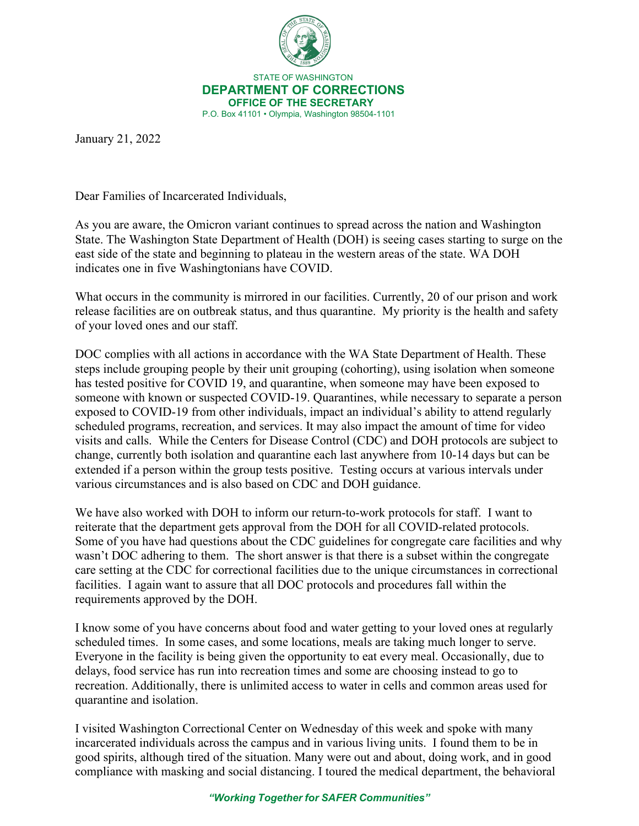

STATE OF WASHINGTON **DEPARTMENT OF CORRECTIONS OFFICE OF THE SECRETARY** P.O. Box 41101 • Olympia, Washington 98504-1101

January 21, 2022

Dear Families of Incarcerated Individuals,

As you are aware, the Omicron variant continues to spread across the nation and Washington State. The Washington State Department of Health (DOH) is seeing cases starting to surge on the east side of the state and beginning to plateau in the western areas of the state. WA DOH indicates one in five Washingtonians have COVID.

What occurs in the community is mirrored in our facilities. Currently, 20 of our prison and work release facilities are on outbreak status, and thus quarantine. My priority is the health and safety of your loved ones and our staff.

DOC complies with all actions in accordance with the WA State Department of Health. These steps include grouping people by their unit grouping (cohorting), using isolation when someone has tested positive for COVID 19, and quarantine, when someone may have been exposed to someone with known or suspected COVID-19. Quarantines, while necessary to separate a person exposed to COVID-19 from other individuals, impact an individual's ability to attend regularly scheduled programs, recreation, and services. It may also impact the amount of time for video visits and calls. While the Centers for Disease Control (CDC) and DOH protocols are subject to change, currently both isolation and quarantine each last anywhere from 10-14 days but can be extended if a person within the group tests positive. Testing occurs at various intervals under various circumstances and is also based on CDC and DOH guidance.

We have also worked with DOH to inform our return-to-work protocols for staff. I want to reiterate that the department gets approval from the DOH for all COVID-related protocols. Some of you have had questions about the CDC guidelines for congregate care facilities and why wasn't DOC adhering to them. The short answer is that there is a subset within the congregate care setting at the CDC for correctional facilities due to the unique circumstances in correctional facilities. I again want to assure that all DOC protocols and procedures fall within the requirements approved by the DOH.

I know some of you have concerns about food and water getting to your loved ones at regularly scheduled times. In some cases, and some locations, meals are taking much longer to serve. Everyone in the facility is being given the opportunity to eat every meal. Occasionally, due to delays, food service has run into recreation times and some are choosing instead to go to recreation. Additionally, there is unlimited access to water in cells and common areas used for quarantine and isolation.

I visited Washington Correctional Center on Wednesday of this week and spoke with many incarcerated individuals across the campus and in various living units. I found them to be in good spirits, although tired of the situation. Many were out and about, doing work, and in good compliance with masking and social distancing. I toured the medical department, the behavioral

*"Working Together for SAFER Communities"*